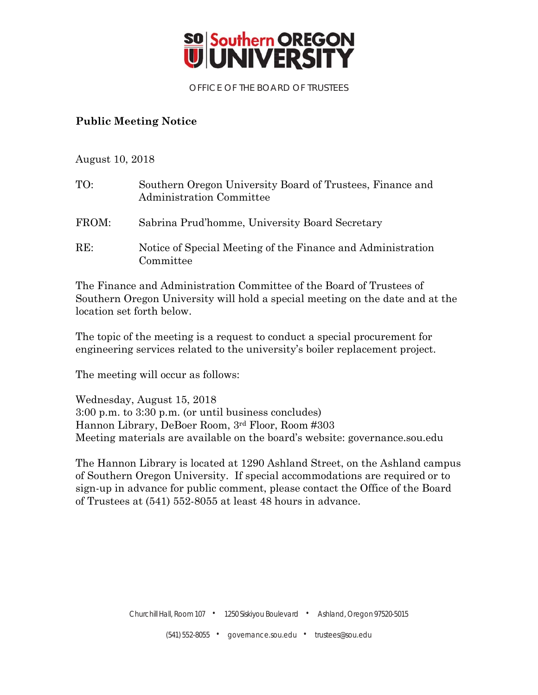

OFFICE OF THE BOARD OF TRUSTEES

## **Public Meeting Notice**

August 10, 2018

| TO:   | Southern Oregon University Board of Trustees, Finance and<br>Administration Committee |
|-------|---------------------------------------------------------------------------------------|
| FROM: | Sabrina Prud'homme, University Board Secretary                                        |
| RE:   | Notice of Special Meeting of the Finance and Administration<br>Committee              |

The Finance and Administration Committee of the Board of Trustees of Southern Oregon University will hold a special meeting on the date and at the location set forth below.

The topic of the meeting is a request to conduct a special procurement for engineering services related to the university's boiler replacement project.

The meeting will occur as follows:

Wednesday, August 15, 2018 3:00 p.m. to 3:30 p.m. (or until business concludes) Hannon Library, DeBoer Room, 3rd Floor, Room #303 Meeting materials are available on the board's website: governance.sou.edu

The Hannon Library is located at 1290 Ashland Street, on the Ashland campus of Southern Oregon University. If special accommodations are required or to sign-up in advance for public comment, please contact the Office of the Board of Trustees at (541) 552-8055 at least 48 hours in advance.